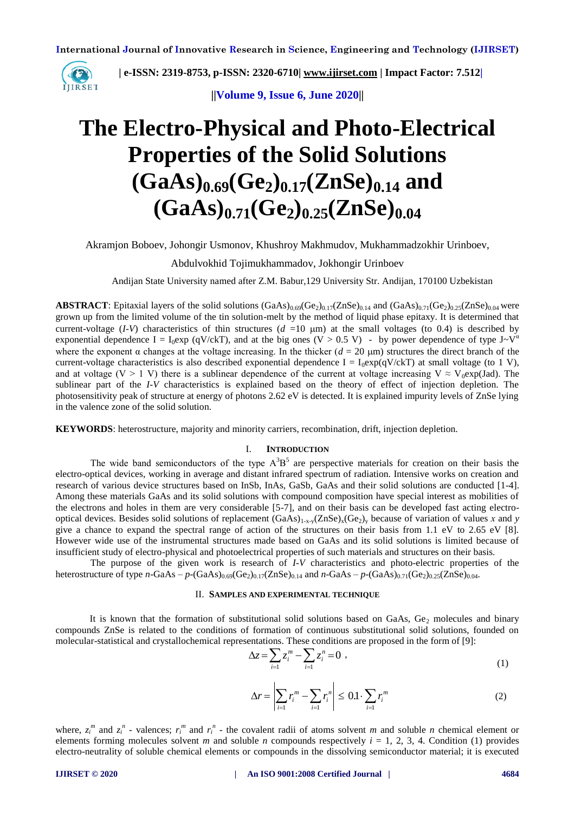

 **| e-ISSN: 2319-8753, p-ISSN: 2320-6710| [www.ijirset.com](http://www.ijirset.com/) | Impact Factor: 7.512|**

**||Volume 9, Issue 6, June 2020||** 

# **The Electro-Physical and Photo-Electrical Properties of the Solid Solutions**  $(GaAs)_{0.69}$  $(Ge_2)_{0.17}$  $(ZnSe)_{0.14}$  and  $(GaAs)_{0.71} (Ge_2)_{0.25} (ZnSe)_{0.04}$

Akramjon Boboev, Jоhongir Usmonov, Khushroy Makhmudov, Mukhammadzokhir Urinboev,

Abdulvokhid Tojimukhammadov, Jokhongir Urinboev

Andijan State University named after Z.M. Babur,129 University Str. Andijan, 170100 Uzbekistan

**ABSTRACT**: Epitaxial layers of the solid solutions  $(GaAs)_{0.69}(Ge_2)_{0.17}(ZnSe)_{0.14}$  and  $(GaAs)_{0.71}(Ge_2)_{0.25}(ZnSe)_{0.04}$  were grown up from the limited volume of the tin solution-melt by the method of liquid phase epitaxy. It is determined that current-voltage (*I-V*) characteristics of thin structures ( $d = 10 \mu m$ ) at the small voltages (to 0.4) is described by exponential dependence I =  $I_0$ exp (qV/ckT), and at the big ones (V > 0.5 V) - by power dependence of type J~V<sup> $\alpha$ </sup> where the exponent  $\alpha$  changes at the voltage increasing. In the thicker ( $d = 20 \text{ }\mu\text{m}$ ) structures the direct branch of the current-voltage characteristics is also described exponential dependence  $I = I_0 \exp(qV/ckT)$  at small voltage (to 1 V), and at voltage (V > 1 V) there is a sublinear dependence of the current at voltage increasing V  $\approx$  V<sub>0</sub>exp(Jad). The sublinear part of the *I-V* characteristics is explained based on the theory of effect of injection depletion. The photosensitivity peak of structure at energy of photons 2.62 eV is detected. It is explained impurity levels of ZnSe lying in the valence zone of the solid solution.

**KEYWORDS**: heterostructure, majority and minority carriers, recombination, drift, injection depletion.

### I. **INTRODUCTION**

The wide band semiconductors of the type  $A<sup>3</sup>B<sup>5</sup>$  are perspective materials for creation on their basis the electro-optical devices, working in average and distant infrared spectrum of radiation. Intensive works on creation and research of various device structures based on InSb, InAs, GaSb, GaAs and their solid solutions are conducted [1-4]. Among these materials GaAs and its solid solutions with compound composition have special interest as mobilities of the electrons and holes in them are very considerable [5-7], and on their basis can be developed fast acting electrooptical devices. Besides solid solutions of replacement  $(GaAs)_{1-x-y}(ZnSe)_x(Ge_2)_y$  because of variation of values *x* and *y* give a chance to expand the spectral range of action of the structures on their basis from 1.1 eV to 2.65 eV [8]. However wide use of the instrumental structures made based on GaAs and its solid solutions is limited because of insufficient study of electro-physical and photoelectrical properties of such materials and structures on their basis.

The purpose of the given work is research of *I-V* characteristics and photo-electric properties of the heterostructure of type *n*-GaAs –  $p$ -(GaAs)<sub>0.69</sub>(Ge<sub>2</sub>)<sub>0.17</sub>(ZnSe)<sub>0.14</sub> and *n*-GaAs –  $p$ -(GaAs)<sub>0.71</sub>(Ge<sub>2</sub>)<sub>0.25</sub>(ZnSe)<sub>0.04</sub>.

#### II. **SAMPLES AND EXPERIMENTAL TECHNIQUE**

It is known that the formation of substitutional solid solutions based on GaAs, Ge<sub>2</sub> molecules and binary compounds ZnSe is related to the conditions of formation of continuous substitutional solid solutions, founded on molecular-statistical and crystallochemical representations. These conditions are proposed in the form of [9]:

$$
\Delta z = \sum_{i=1}^{n} z_i^m - \sum_{i=1}^{n} z_i^n = 0 \tag{1}
$$

$$
\Delta r = \left| \sum_{i=1} r_i^m - \sum_{i=1} r_i^n \right| \le 0.1 \cdot \sum_{i=1} r_i^m \tag{2}
$$

where,  $z_i^m$  and  $z_i^n$  - valences;  $r_i^m$  and  $r_i^n$  - the covalent radii of atoms solvent *m* and soluble *n* chemical element or elements forming molecules solvent *m* and soluble *n* compounds respectively  $i = 1, 2, 3, 4$ . Condition (1) provides electro-neutrality of soluble chemical elements or compounds in the dissolving semiconductor material; it is executed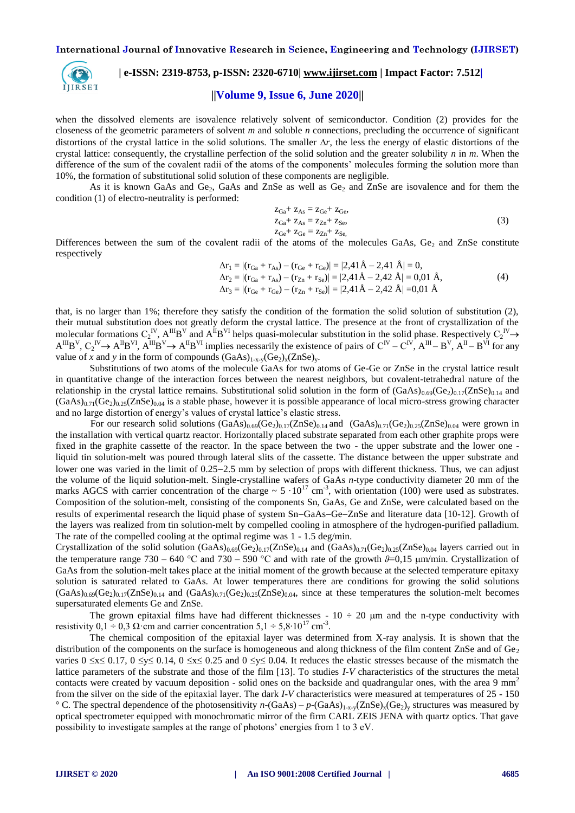

# **| e-ISSN: 2319-8753, p-ISSN: 2320-6710| [www.ijirset.com](http://www.ijirset.com/) | Impact Factor: 7.512|**

### **||Volume 9, Issue 6, June 2020||**

when the dissolved elements are isovalence relatively solvent of semiconductor. Condition (2) provides for the closeness of the geometric parameters of solvent *m* and soluble *n* connections, precluding the occurrence of significant distortions of the crystal lattice in the solid solutions. The smaller  $\Delta r$ , the less the energy of elastic distortions of the crystal lattice: consequently, the crystalline perfection of the solid solution and the greater solubility *n* in *m*. When the difference of the sum of the covalent radii of the atoms of the components' molecules forming the solution more than 10%, the formation of substitutional solid solution of these components are negligible.

As it is known GaAs and Ge<sub>2</sub>, GaAs and ZnSe as well as  $Ge_2$  and ZnSe are isovalence and for them the condition (1) of electro-neutrality is performed:

$$
Z_{Ga} + Z_{As} = Z_{Ge} + Z_{Ge},
$$
  
\n
$$
Z_{Ga} + Z_{As} = Z_{Zn} + Z_{Se},
$$
  
\n
$$
Z_{Ge} + Z_{Ge} = Z_{Zn} + Z_{Se},
$$
  
\n(3)

Differences between the sum of the covalent radii of the atoms of the molecules GaAs,  $Ge_2$  and ZnSe constitute respectively

$$
\Delta \mathbf{r}_1 = |(\mathbf{r}_{Ga} + \mathbf{r}_{As}) - (\mathbf{r}_{Ge} + \mathbf{r}_{Ge})| = |2,41\,\text{\AA} - 2,41\,\text{\AA}| = 0,\n\Delta \mathbf{r}_2 = |(\mathbf{r}_{Ga} + \mathbf{r}_{As}) - (\mathbf{r}_{Zn} + \mathbf{r}_{Se})| = |2,41\,\text{\AA} - 2,42\,\text{\AA}| = 0,01\,\text{\AA},\n\Delta \mathbf{r}_3 = |(\mathbf{r}_{Ge} + \mathbf{r}_{Ge}) - (\mathbf{r}_{Zn} + \mathbf{r}_{Se})| = |2,41\,\text{\AA} - 2,42\,\text{\AA}| = 0,01\,\text{\AA}
$$
\n(4)

that, is no larger than 1%; therefore they satisfy the condition of the formation the solid solution of substitution (2), their mutual substitution does not greatly deform the crystal lattice. The presence at the front of crystallization of the molecular formations  $C_2^{\ N}$ ,  $A^{III}B^V$  and  $A^{II}B^{VI}$  helps quasi-molecular substitution in the solid phase. Respectively  $C_2^{\ N} \to$  $A^{III}B^{V}$ ,  $C_2^{IV} \rightarrow A^{II}B^{VI}$ ,  $A^{III}B^{V} \rightarrow A^{II}B^{VI}$  implies necessarily the existence of pairs of  $C^{IV} - C^{IV}$ ,  $A^{III} - B^{V}$ ,  $A^{II} - B^{VI}$  for any value of *x* and *y* in the form of compounds  $(GaAs)_{1-x,y}(Ge_2)_x(ZnSe)_y$ .

Substitutions of two atoms of the molecule GaAs for two atoms of Ge-Ge or ZnSe in the crystal lattice result in quantitative change of the interaction forces between the nearest neighbors, but covalent-tetrahedral nature of the relationship in the crystal lattice remains. Substitutional solid solution in the form of  $(GaAs)_{0.69}(Ge_2)_{0.17}(ZnSe)_{0.14}$  and  $(GaAs)_{0.71}(Ge_2)_{0.25}(ZnSe)_{0.04}$  is a stable phase, however it is possible appearance of local micro-stress growing character and no large distortion of energy's values of crystal lattice's elastic stress.

For our research solid solutions  $(GaAs)_{0.69}(Ge_2)_{0.17}(ZnSe)_{0.14}$  and  $(GaAs)_{0.71}(Ge_2)_{0.25}(ZnSe)_{0.04}$  were grown in the installation with vertical quartz reactor. Horizontally placed substrate separated from each other graphite props were fixed in the graphite cassette of the reactor. In the space between the two - the upper substrate and the lower one liquid tin solution-melt was poured through lateral slits of the cassette. The distance between the upper substrate and lower one was varied in the limit of 0.25–2.5 mm by selection of props with different thickness. Thus, we can adjust the volume of the liquid solution-melt. Single-crystalline wafers of GaAs *n*-type conductivity diameter 20 mm of the marks AGCS with carrier concentration of the charge  $\sim 5 \cdot 10^{17}$  cm<sup>-3</sup>, with orientation (100) were used as substrates. Composition of the solution-melt, consisting of the components Sn, GaAs, Ge and ZnSe, were calculated based on the results of experimental research the liquid phase of system Sn-GaAs-Ge-ZnSe and literature data [10-12]. Growth of the layers was realized from tin solution-melt by compelled cooling in atmosphere of the hydrogen-purified palladium. The rate of the compelled cooling at the optimal regime was 1 - 1.5 deg/min.

Crystallization of the solid solution  $(GaAs)_{0.69}(Ge_2)_{0.17}(ZnSe)_{0.14}$  and  $(GaAs)_{0.71}(Ge_2)_{0.25}(ZnSe)_{0.04}$  layers carried out in the temperature range 730 – 640 °C and 730 – 590 °C and with rate of the growth  $\theta$ =0,15  $\mu$ m/min. Crystallization of GaAs from the solution-melt takes place at the initial moment of the growth because at the selected temperature epitaxy solution is saturated related to GaAs. At lower temperatures there are conditions for growing the solid solutions  $(GaAs)_{0.69}(Ge_2)_{0.17}(ZnSe)_{0.14}$  and  $(GaAs)_{0.71}(Ge_2)_{0.25}(ZnSe)_{0.04}$ , since at these temperatures the solution-melt becomes supersaturated elements Ge and ZnSe.

The grown epitaxial films have had different thicknesses -  $10 \div 20$  µm and the n-type conductivity with resistivity 0,1 ÷ 0,3  $\Omega$  cm and carrier concentration 5,1 ÷ 5,8⋅10<sup>17</sup> cm<sup>-3</sup>.

The chemical composition of the epitaxial layer was determined from X-ray analysis. It is shown that the distribution of the components on the surface is homogeneous and along thickness of the film content ZnSe and of  $Ge_2$ varies  $0 \le x \le 0.17$ ,  $0 \le y \le 0.14$ ,  $0 \le x \le 0.25$  and  $0 \le y \le 0.04$ . It reduces the elastic stresses because of the mismatch the lattice parameters of the substrate and those of the film [13]. To studies *I-V* characteristics of the structures the metal contacts were created by vacuum deposition - solid ones on the backside and quadrangular ones, with the area  $9 \text{ mm}^2$ from the silver on the side of the epitaxial layer. The dark *I-V* characteristics were measured at temperatures of 25 - 150 <sup>o</sup> C. The spectral dependence of the photosensitivity  $n-(GaAs) - p-(GaAs)_{1-x-y}(ZnSe)_x(Ge_2)_y$  structures was measured by optical spectrometer equipped with monochromatic mirror of the firm CARL ZEIS JENA with quartz optics. That gave possibility to investigate samples at the range of photons' energies from 1 to 3 eV.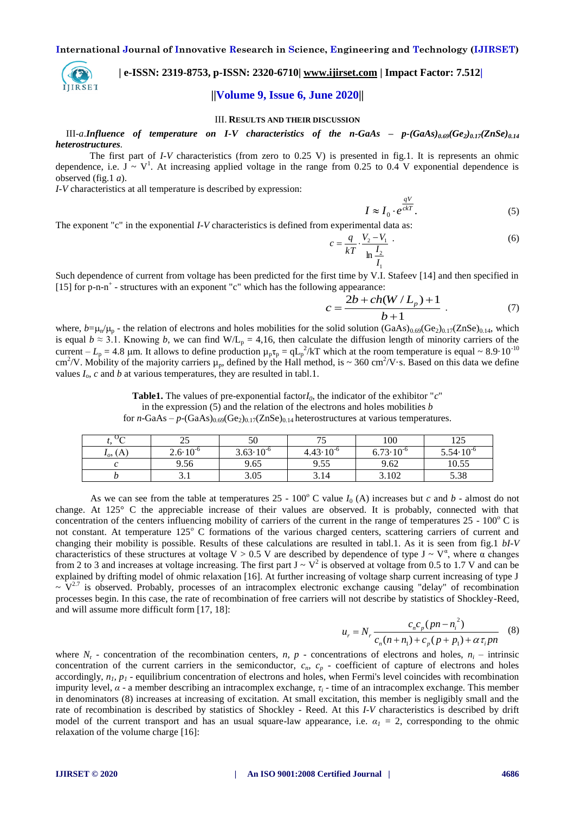

# **| e-ISSN: 2319-8753, p-ISSN: 2320-6710| [www.ijirset.com](http://www.ijirset.com/) | Impact Factor: 7.512| ||Volume 9, Issue 6, June 2020||**

#### III. **RESULTS AND THEIR DISCUSSION**

III-*a*.*Influence of temperature on I-V characteristics of the n-GaAs – p-(GaAs)0.69(Ge2)0.17(ZnSe)0.14 heterostructures.*

The first part of *I-V* characteristics (from zero to 0.25 V) is presented in fig.1. It is represents an ohmic dependence, i.e.  $J \sim V^1$ . At increasing applied voltage in the range from 0.25 to 0.4 V exponential dependence is observed (fig.1 *a*).

*I-V* characteristics at all temperature is described by expression:

$$
I \approx I_0 \cdot e^{\frac{qV}{ckT}}.\tag{5}
$$

The exponent "c" in the exponential *I-V* characteristics is defined from experimental data as:

$$
c = \frac{q}{kT} \cdot \frac{V_2 - V_1}{\ln \frac{I_2}{I_1}} \tag{6}
$$

Such dependence of current from voltage has been predicted for the first time by V.I. Stafeev [14] and then specified in [15] for p-n-n<sup>+</sup> - structures with an exponent "c" which has the following appearance:

$$
c = \frac{2b + ch(W/L_p) + 1}{b + 1} \tag{7}
$$

where,  $b=\mu_n/\mu_p$  - the relation of electrons and holes mobilities for the solid solution  $(GaAs)_{0.69}(Ge_2)_{0.17}(ZnSe)_{0.14}$ , which is equal  $b \approx 3.1$ . Knowing *b*, we can find W/L<sub>p</sub> = 4,16, then calculate the diffusion length of minority carriers of the current  $-L_p = 4.8$  µm. It allows to define production  $\mu_p \tau_p = q L_p^2 / kT$  which at the room temperature is equal ~ 8.9·10<sup>-10</sup> cm<sup>2</sup>/V. Mobility of the majority carriers  $\mu_p$ , defined by the Hall method, is ~ 360 cm<sup>2</sup>/V·s. Based on this data we define values  $I_0$ ,  $c$  and  $b$  at various temperatures, they are resulted in tabl.1.

**Table1.** The values of pre-exponential factor $I_0$ , the indicator of the exhibitor " $c$ " in the expression (5) and the relation of the electrons and holes mobilities *b* for *n*-GaAs –  $p$ -(GaAs)<sub>0.69</sub>(Ge<sub>2</sub>)<sub>0.17</sub>(ZnSe)<sub>0.14</sub> heterostructures at various temperatures.

| $\sim$        | ر ر                 | 50                   |                      | 100                  | $1 \cap \mathcal{L}$ |
|---------------|---------------------|----------------------|----------------------|----------------------|----------------------|
| $I_o$ , $(A)$ | $2.6 \cdot 10^{-6}$ | $3.63 \cdot 10^{-6}$ | $4.43 \cdot 10^{-6}$ | $6.73 \cdot 10^{-6}$ | $5.54 \cdot 10^{-6}$ |
|               | 9.56                | 9.65                 | 9.55                 | 9.62                 | 10.55                |
|               | ں ر                 | 3.05                 | 3.14                 | 3.102                | 5.38                 |

As we can see from the table at temperatures  $25 - 100^{\circ}$  C value  $I_0$  (A) increases but *c* and *b* - almost do not change. At 125° C the appreciable increase of their values are observed. It is probably, connected with that concentration of the centers influencing mobility of carriers of the current in the range of temperatures  $25 - 100^{\circ}$  C is not constant. At temperature 125° C formations of the various charged centers, scattering carriers of current and changing their mobility is possible. Results of these calculations are resulted in tabl.1. As it is seen from fig.1 *bI-V* characteristics of these structures at voltage V > 0.5 V are described by dependence of type J ~  $V^{\alpha}$ , where  $\alpha$  changes from 2 to 3 and increases at voltage increasing. The first part  $J \sim V^2$  is observed at voltage from 0.5 to 1.7 V and can be explained by drifting model of ohmic relaxation [16]. At further increasing of voltage sharp current increasing of type J  $\sim$   $V^{2.7}$  is observed. Probably, processes of an intracomplex electronic exchange causing "delay" of recombination processes begin. In this case, the rate of recombination of free carriers will not describe by statistics of Shockley-Reed, and will assume more difficult form [17, 18]:

$$
u_r = N_r \frac{c_n c_p (p n - n_i^2)}{c_n (n + n_1) + c_p (p + p_1) + \alpha \tau_i p n}
$$
 (8)

where  $N_r$  - concentration of the recombination centers,  $n_r$ ,  $p$  - concentrations of electrons and holes,  $n_i$  – intrinsic concentration of the current carriers in the semiconductor,  $c_n$ ,  $c_p$  - coefficient of capture of electrons and holes accordingly, *n1, p<sup>1</sup>* - equilibrium concentration of electrons and holes, when Fermi's level coincides with recombination impurity level, *α* - a member describing an intracomplex exchange, *τ<sup>i</sup>* - time of an intracomplex exchange. This member in denominators (8) increases at increasing of excitation. At small excitation, this member is negligibly small and the rate of recombination is described by statistics of Shockley - Reed. At this *I-V* characteristics is described by drift model of the current transport and has an usual square-law appearance, i.e.  $\alpha_1 = 2$ , corresponding to the ohmic relaxation of the volume charge [16]: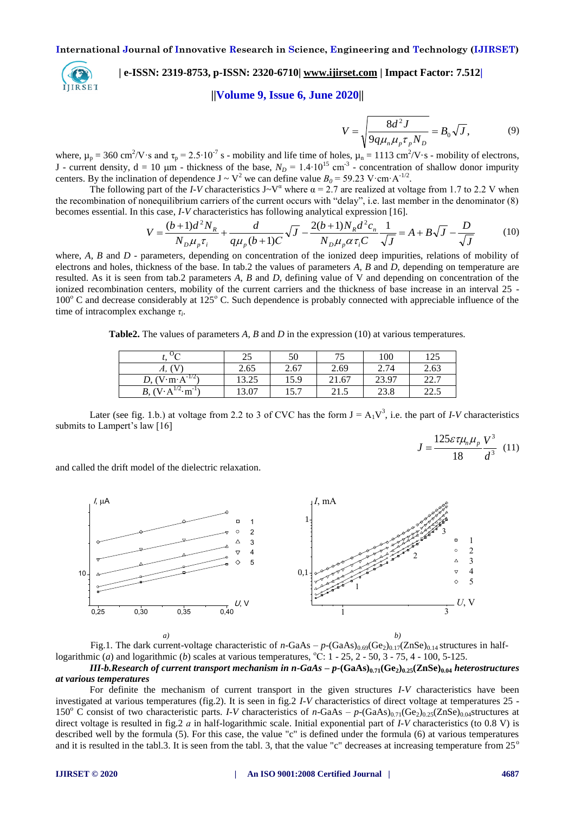

# **| e-ISSN: 2319-8753, p-ISSN: 2320-6710| [www.ijirset.com](http://www.ijirset.com/) | Impact Factor: 7.512|**

# **||Volume 9, Issue 6, June 2020||**

$$
V = \sqrt{\frac{8d^2 J}{9q\mu_n \mu_p \tau_p N_D}} = B_0 \sqrt{J},\qquad(9)
$$

where,  $\mu_p = 360 \text{ cm}^2/\text{V} \cdot \text{s}$  and  $\tau_p = 2.5 \cdot 10^{-7} \text{ s}$  - mobility and life time of holes,  $\mu_n = 1113 \text{ cm}^2/\text{V} \cdot \text{s}$  - mobility of electrons, J - current density,  $d = 10 \mu m$  - thickness of the base,  $N_D = 1.4 \cdot 10^{15} \text{ cm}^{-3}$  - concentration of shallow donor impurity centers. By the inclination of dependence  $J \sim V^2$  we can define value  $B_0 = 59.23$  V·cm·A<sup>-1/2</sup>.

The following part of the *I-V* characteristics  $J - V^{\alpha}$  where  $\alpha = 2.7$  are realized at voltage from 1.7 to 2.2 V when the recombination of nonequilibrium carriers of the current occurs with "delay", i.e. last member in the denominator (8) becomes essential. In this case, *I-V* characteristics has following analytical expression [16].

onequilibrium carriers of the current occurs with "delay", i.e. last member in the denominator (8)  
\nhis case, I-V characteristics has following analytical expression [16].  
\n
$$
V = \frac{(b+1)d^2N_R}{N_D\mu_p\tau_i} + \frac{d}{q\mu_p(b+1)C}\sqrt{J} - \frac{2(b+1)N_Rd^2c_n}{N_D\mu_p\alpha\tau_iC}\frac{1}{\sqrt{J}} = A + B\sqrt{J} - \frac{D}{\sqrt{J}}
$$
(10)

where, *A, B* and *D* - parameters, depending on concentration of the ionized deep impurities, relations of mobility of electrons and holes, thickness of the base. In tab.2 the values of parameters *A, B* and *D*, depending on temperature are resulted. As it is seen from tab.2 parameters *A, B* and *D*, defining value of V and depending on concentration of the ionized recombination centers, mobility of the current carriers and the thickness of base increase in an interval 25 - $100^{\circ}$  C and decrease considerably at  $125^{\circ}$  C. Such dependence is probably connected with appreciable influence of the time of intracomplex exchange *τ<sup>i</sup>* .

**Table2.** The values of parameters *A, B* and *D* in the expression (10) at various temperatures.

|                                                        | $\gamma$<br>ر ر | 50   | 75<br>ັບ | 100   | 125            |
|--------------------------------------------------------|-----------------|------|----------|-------|----------------|
| А,                                                     | 2.65            | 2.67 | 2.69     | 2.74  | 2.63           |
| $-1/2$<br>$V \cdot m \cdot A$                          | 13.25           | 15.9 | 21.67    | 23.97 | 227<br>44.1    |
| $\cdot$ m <sup>-1</sup><br>$(V \cdot A)$<br><i>B</i> , | 13.07           | 15.7 | ل د که   | 23.8  | າາ ເ<br>ن شاشل |

Later (see fig. 1.b.) at voltage from 2.2 to 3 of CVC has the form  $J = A_1V^3$ , i.e. the part of *I-V* characteristics submits to Lampert's law [16]

$$
J = \frac{125\varepsilon\tau\mu_n\mu_p}{18} \frac{V^3}{d^3} \quad (11)
$$

and called the drift model of the dielectric relaxation.



Fig.1. The dark current-voltage characteristic of  $n-GaAs - p-(GaAs)_{0.69}(Ge_2)_{0.17}(ZnSe)_{0.14}$  structures in halflogarithmic (*a*) and logarithmic (*b*) scales at various temperatures,  $\degree$ C: 1 - 25, 2 - 50, 3 - 75, 4 - 100, 5-125.

*III-b.Research of current transport mechanism in n-GaAs – p-***(GaAs)0.71(Ge2)0.25(ZnSe)0.04** *heterostructures at various temperatures*

For definite the mechanism of current transport in the given structures *I-V* characteristics have been investigated at various temperatures (fig.2). It is seen in fig.2 *I-V* characteristics of direct voltage at temperatures 25 - 150<sup>o</sup> C consist of two characteristic parts. *I-V* characteristics of *n*-GaAs –  $p$ -(GaAs)<sub>0.71</sub>(Ge<sub>2)0.25</sub>(ZnSe)<sub>0.04</sub>structures at direct voltage is resulted in fig.2 *а* in half-logarithmic scale. Initial exponential part of *I-V* characteristics (to 0.8 V) is described well by the formula (5). For this case, the value "c" is defined under the formula (6) at various temperatures and it is resulted in the tabl.3. It is seen from the tabl. 3, that the value "c" decreases at increasing temperature from  $25^{\circ}$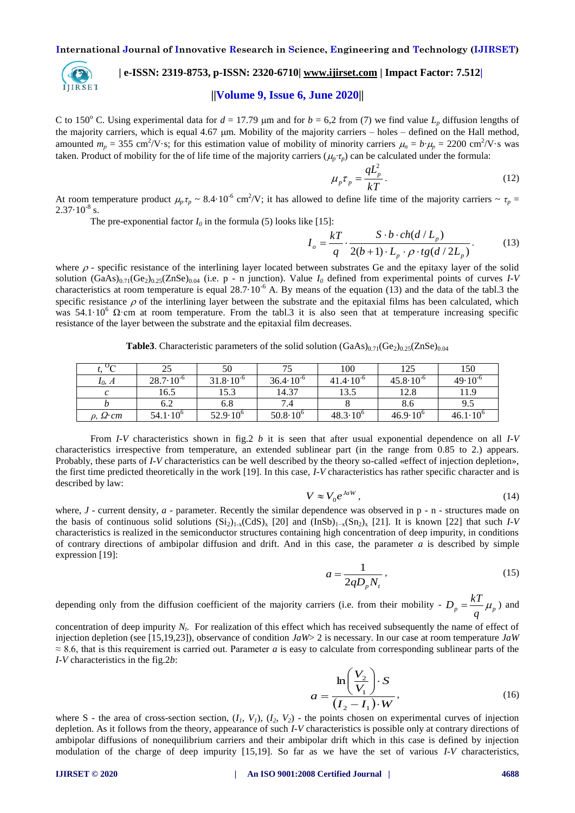

# **| e-ISSN: 2319-8753, p-ISSN: 2320-6710| [www.ijirset.com](http://www.ijirset.com/) | Impact Factor: 7.512|**

# **||Volume 9, Issue 6, June 2020||**

C to 150<sup>o</sup> C. Using experimental data for  $d = 17.79$  µm and for  $b = 6.2$  from (7) we find value  $L_p$  diffusion lengths of the majority carriers, which is equal 4.67  $\mu$ m. Mobility of the majority carriers – holes – defined on the Hall method, amounted  $m_p = 355 \text{ cm}^2/\text{V} \cdot \text{s}$ ; for this estimation value of mobility of minority carriers  $\mu_n = b \cdot \mu_p = 2200 \text{ cm}^2/\text{V} \cdot \text{s}$  was taken. Product of mobility for the of life time of the majority carriers ( $\mu$ <sup>*r*</sup><sub>*r*</sub>) can be calculated under the formula:

$$
\mu_p \tau_p = \frac{qL_p^2}{kT} \,. \tag{12}
$$

At room temperature product  $\mu_p \tau_p \sim 8.4 \cdot 10^{-6}$  cm<sup>2</sup>/V; it has allowed to define life time of the majority carriers  $\sim \tau_p =$  $2.37 \cdot 10^{-8}$  s.

The pre-exponential factor  $I_0$  in the formula (5) looks like [15]:<br> $I_0 = \frac{kT}{I}$ 

$$
I_o = \frac{kT}{q} \cdot \frac{S \cdot b \cdot ch(d/L_p)}{2(b+1) \cdot L_p \cdot \rho \cdot tg(d/2L_p)}.
$$
 (13)

where  $\rho$  - specific resistance of the interlining layer located between substrates Ge and the epitaxy layer of the solid solution  $(GaAs)_{0.71}(Ge_2)_{0.25}(ZnSe)_{0.04}$  (i.e. p - n junction). Value  $I_0$  defined from experimental points of curves  $I-V$ characteristics at room temperature is equal  $28.7 \cdot 10^{-6}$  A. By means of the equation (13) and the data of the tabl.3 the specific resistance  $\rho$  of the interlining layer between the substrate and the epitaxial films has been calculated, which was  $54.1 \cdot 10^6$   $\Omega$  cm at room temperature. From the tabl.3 it is also seen that at temperature increasing specific resistance of the layer between the substrate and the epitaxial film decreases.

**Table3**. Characteristic parameters of the solid solution  $(GaAs)_{0.71}(Ge_2)_{0.25}(ZnSe)_{0.04}$ 

|                       |                      | 50                   |                      | 100                  | 125                  | 150                 |
|-----------------------|----------------------|----------------------|----------------------|----------------------|----------------------|---------------------|
| $I_0$ , A             | $28.7 \cdot 10^{-6}$ | $31.8 \cdot 10^{-6}$ | $36.4 \cdot 10^{-6}$ | $41.4 \cdot 10^{-6}$ | $45.8 \cdot 10^{-6}$ | $49.10^{0}$         |
|                       | 16.5                 | 15.3                 | 14.37                | 13.5                 | 12.8                 | 11.9                |
|                       | 6.2                  | 6.8                  |                      |                      | 8.6                  |                     |
| $\rho$ , $\Omega$ ·cm | $54.1 \cdot 10^{6}$  | $52.9 \cdot 10^{6}$  | $50.8 \cdot 10^{6}$  | $48.3 \cdot 10^{6}$  | $46.9 \cdot 10^{6}$  | $46.1 \cdot 10^{6}$ |

From *I-V* characteristics shown in fig.2 *b* it is seen that after usual exponential dependence on all *I-V* characteristics irrespective from temperature, an extended sublinear part (in the range from 0.85 to 2.) appears. Probably, these parts of *I-V* characteristics can be well described by the theory so-called «effect of injection depletion», the first time predicted theoretically in the work [19]. In this case, *I-V* characteristics has rather specific character and is described by law:

$$
V \approx V_0 e^{JaW},\tag{14}
$$

where, *J* - current density, *a* - parameter. Recently the similar dependence was observed in p - n - structures made on the basis of continuous solid solutions  $(Si_2)_{1-x}(CdS)_x$  [20] and  $(InSb)_{1-x}(Sn_2)_x$  [21]. It is known [22] that such *I-V* characteristics is realized in the semiconductor structures containing high concentration of deep impurity, in conditions of contrary directions of ambipolar diffusion and drift. And in this case, the parameter  $a$  is described by simple expression [19]:

$$
a = \frac{1}{2qD_p N_t},\tag{15}
$$

depending only from the diffusion coefficient of the majority carriers (i.e. from their mobility -  $D_p = \frac{kT}{q} \mu_p$  $D_n = \frac{kT}{\mu_n}$  and

concentration of deep impurity *N<sup>t</sup>* . For realization of this effect which has received subsequently the name of effect of injection depletion (see [15,19,23]), observance of condition *JaW*> 2 is necessary. In our case at room temperature *JaW*  $\approx$  8.6, that is this requirement is carried out. Parameter *a* is easy to calculate from corresponding sublinear parts of the *I-V* characteristics in the fig.2*b*:

$$
a = \frac{\ln\left(\frac{V_2}{V_1}\right) \cdot S}{(I_2 - I_1) \cdot W},\tag{16}
$$

where S - the area of cross-section section,  $(I_1, V_1)$ ,  $(I_2, V_2)$  - the points chosen on experimental curves of injection depletion. As it follows from the theory, appearance of such *I-V* characteristics is possible only at contrary directions of ambipolar diffusions of nonequilibrium carriers and their ambipolar drift which in this case is defined by injection modulation of the charge of deep impurity [15,19]. So far as we have the set of various *I-V* characteristics,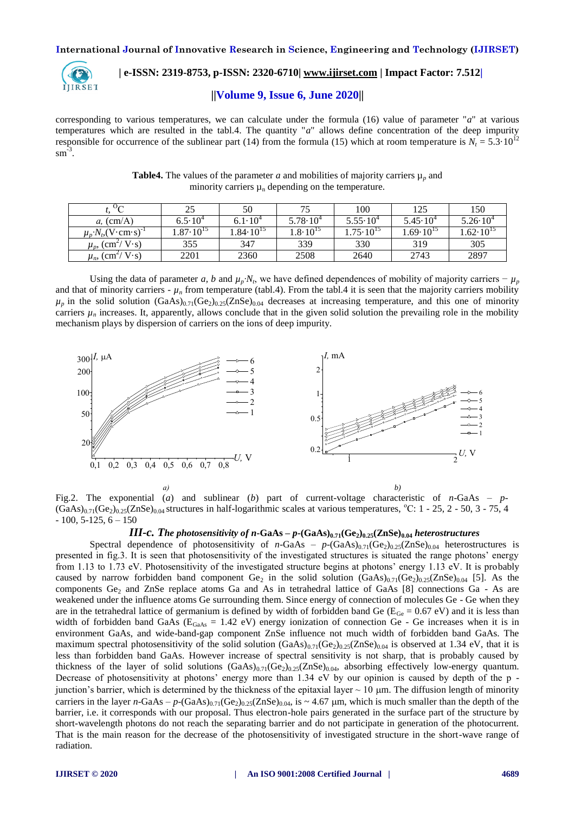

# **| e-ISSN: 2319-8753, p-ISSN: 2320-6710| [www.ijirset.com](http://www.ijirset.com/) | Impact Factor: 7.512|**

# **||Volume 9, Issue 6, June 2020||**

corresponding to various temperatures, we can calculate under the formula (16) value of parameter "*a*" at various temperatures which are resulted in the tabl.4. The quantity "*a*" allows define concentration of the deep impurity responsible for occurrence of the sublinear part (14) from the formula (15) which at room temperature is  $N_t = 5.3 \cdot 10^{12}$  $\text{sm}^{\frac{2}{3}}$ .

| <b>Table4.</b> The values of the parameter a and mobilities of majority carriers $\mu_p$ and |  |
|----------------------------------------------------------------------------------------------|--|
| minority carriers $\mu_n$ depending on the temperature.                                      |  |

| $\mathcal{O}_{\mathcal{C}}$<br>◡                         | 25                  | 50                  | 75                  | 100                  | 125                 | 150                 |
|----------------------------------------------------------|---------------------|---------------------|---------------------|----------------------|---------------------|---------------------|
| $a$ , (cm/A)                                             | $6.5\!\cdot\!10^4$  | $6.1 \cdot 10^{4}$  | $5.78 \cdot 10^{4}$ | $5.55 \cdot 10^{4}$  | $5.45 \cdot 10^{4}$ | $5.26 \cdot 10^{4}$ |
| $\mu_p \cdot N_b$ (V $\cdot$ cm $\cdot$ s) <sup>-1</sup> | $.87 \cdot 10^{15}$ | $.84 \cdot 10^{15}$ | $4.8 \cdot 10^{15}$ | $4.75 \cdot 10^{15}$ | $.69 \cdot 10^{15}$ | $.62 \cdot 10^{15}$ |
| $\mu_p$ , (cm <sup>2</sup> /V·s)                         | 355                 | 347                 | 339                 | 330                  | 319                 | 305                 |
| $\mu_{n}$ (cm <sup>2</sup> /V·s)                         | 2201                | 2360                | 2508                | 2640                 | 2743                | 2897                |

Using the data of parameter *a, b* and  $\mu_p \cdot N_t$ , we have defined dependences of mobility of majority carriers  $-\mu_p$ and that of minority carriers -  $\mu_n$  from temperature (tabl.4). From the tabl.4 it is seen that the majority carriers mobility  $\mu_p$  in the solid solution  $(GaAs)_{0.71}(Ge_2)_{0.25}(ZnSe)_{0.04}$  decreases at increasing temperature, and this one of minority carriers  $\mu_n$  increases. It, apparently, allows conclude that in the given solid solution the prevailing role in the mobility mechanism plays by dispersion of carriers on the ions of deep impurity.



Fig.2. The exponential (*a*) and sublinear (*b*) part of current-voltage characteristic of *n*-GaAs – *p*-  $(GaAs)_{0.71}(Ge_2)_{0.25}(ZnSe)_{0.04}$  structures in half-logarithmic scales at various temperatures,  $°C: 1 - 25, 2 - 50, 3 - 75, 4$  $-100, 5-125, 6-150$ 

#### *III-c. The photosensitivity of n***-GaAs –** *p***-(GaAs)0.71(Ge2)0.25(ZnSe)0.04** *heterostructures*

Spectral dependence of photosensitivity of *n*-GaAs –  $p$ -(GaAs)<sub>0.71</sub>(Ge<sub>2</sub>)<sub>0.25</sub>(ZnSe)<sub>0.04</sub> heterostructures is presented in fig.3. It is seen that photosensitivity of the investigated structures is situated the range photons' energy from 1.13 to 1.73 eV. Photosensitivity of the investigated structure begins at photons' energy 1.13 eV. It is probably caused by narrow forbidden band component  $Ge_2$  in the solid solution  $(GaAs)_{0.71}(Ge_2)_{0.25}(ZnSe)_{0.04}$  [5]. As the components  $Ge_2$  and ZnSe replace atoms Ga and As in tetrahedral lattice of GaAs [8] connections Ga - As are weakened under the influence atoms Ge surrounding them. Since energy of connection of molecules Ge - Ge when they are in the tetrahedral lattice of germanium is defined by width of forbidden band Ge ( $E_{Ge} = 0.67$  eV) and it is less than width of forbidden band GaAs ( $E_{GaAs} = 1.42$  eV) energy ionization of connection Ge - Ge increases when it is in environment GaAs, and wide-band-gap component ZnSe influence not much width of forbidden band GaAs. The maximum spectral photosensitivity of the solid solution  $(GaAs)_{0.71}(Ge_2)_{0.25}(ZnSe)_{0.04}$  is observed at 1.34 eV, that it is less than forbidden band GaAs. However increase of spectral sensitivity is not sharp, that is probably caused by thickness of the layer of solid solutions  $(GaAs)_{0.71}(Ge_2)_{0.25}(ZnSe)_{0.04}$ , absorbing effectively low-energy quantum. Decrease of photosensitivity at photons' energy more than 1.34 eV by our opinion is caused by depth of the p junction's barrier, which is determined by the thickness of the epitaxial layer  $\sim 10 \mu m$ . The diffusion length of minority carriers in the layer *n*-GaAs –  $p$ -(GaAs)<sub>0.71</sub>(Ge<sub>2</sub>)<sub>0.25</sub>(ZnSe)<sub>0.04</sub>, is ~ 4.67 µm, which is much smaller than the depth of the barrier, i.e. it corresponds with our proposal. Thus electron-hole pairs generated in the surface part of the structure by short-wavelength photons do not reach the separating barrier and do not participate in generation of the photocurrent. That is the main reason for the decrease of the photosensitivity of investigated structure in the short-wave range of radiation.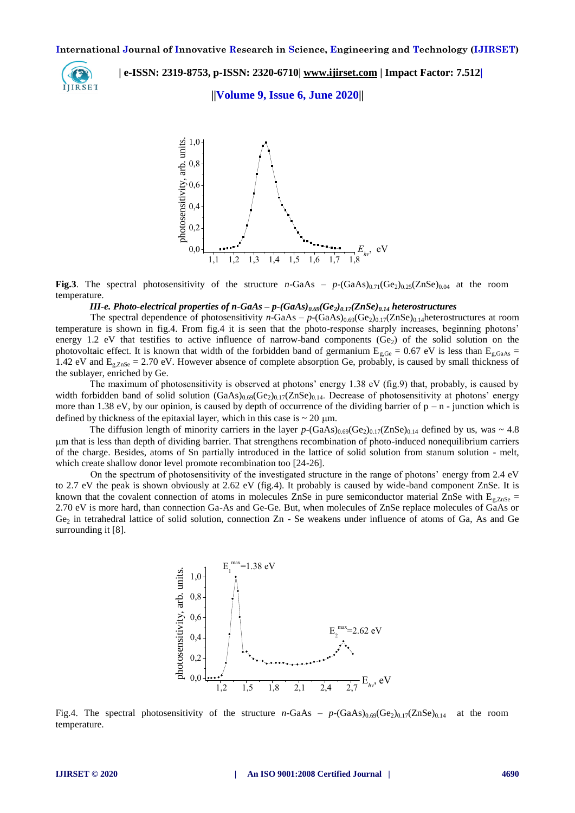

 **| e-ISSN: 2319-8753, p-ISSN: 2320-6710| [www.ijirset.com](http://www.ijirset.com/) | Impact Factor: 7.512|**

**||Volume 9, Issue 6, June 2020||** 



**Fig.3**. The spectral photosensitivity of the structure *n*-GaAs –  $p$ -(GaAs)<sub>0.71</sub>(Ge<sub>2</sub>)<sub>0.25</sub>(ZnSe)<sub>0.04</sub> at the room temperature.

# *III-e. Photo-electrical properties of n-GaAs – p-(GaAs)0.69(Ge2)0.17(ZnSe)0.14 heterostructures*

The spectral dependence of photosensitivity *n*-GaAs –  $p$ -(GaAs)<sub>0.69</sub>(Ge<sub>2</sub>)<sub>0.17</sub>(ZnSe)<sub>0.14</sub>heterostructures at room temperature is shown in fig.4. From fig.4 it is seen that the photo-response sharply increases, beginning photons' energy 1.2 eV that testifies to active influence of narrow-band components  $(Ge_2)$  of the solid solution on the photovoltaic effect. It is known that width of the forbidden band of germanium  $E_{g,Ge} = 0.67$  eV is less than  $E_{g,GaAs} =$ 1.42 eV and  $E_{g,ZnSe}$  = 2.70 eV. However absence of complete absorption Ge, probably, is caused by small thickness of the sublayer, enriched by Ge.

The maximum of photosensitivity is observed at photons' energy 1.38 eV (fig.9) that, probably, is caused by width forbidden band of solid solution  $(GaAs)_{0.69}(Ge_2)_{0.17}(ZnSe)_{0.14}$ . Decrease of photosensitivity at photons' energy more than 1.38 eV, by our opinion, is caused by depth of occurrence of the dividing barrier of  $p - n$  - junction which is defined by thickness of the epitaxial layer, which in this case is  $\sim 20$  µm.

The diffusion length of minority carriers in the layer  $p$ -(GaAs)<sub>0.69</sub>(Ge<sub>2</sub>)<sub>0.17</sub>(ZnSe)<sub>0.14</sub> defined by us, was ~ 4.8 m that is less than depth of dividing barrier. That strengthens recombination of photo-induced nonequilibrium carriers of the charge. Besides, atoms of Sn partially introduced in the lattice of solid solution from stanum solution - melt, which create shallow donor level promote recombination too [24-26].

On the spectrum of photosensitivity of the investigated structure in the range of photons' energy from 2.4 eV to 2.7 eV the peak is shown obviously at 2.62 eV (fig.4). It probably is caused by wide-band component ZnSe. It is known that the covalent connection of atoms in molecules ZnSe in pure semiconductor material ZnSe with  $E_{g,ZnSe}$  = 2.70 eV is more hard, than connection Ga-As and Ge-Ge. But, when molecules of ZnSe replace molecules of GaAs or Ge<sub>2</sub> in tetrahedral lattice of solid solution, connection Zn - Se weakens under influence of atoms of Ga, As and Ge surrounding it [8].



Fig.4. The spectral photosensitivity of the structure  $n-\text{GaAs} - p-\text{GaAs})_{0.69}(\text{Ge}_2)_{0.17}(\text{ZnSe})_{0.14}$  at the room temperature.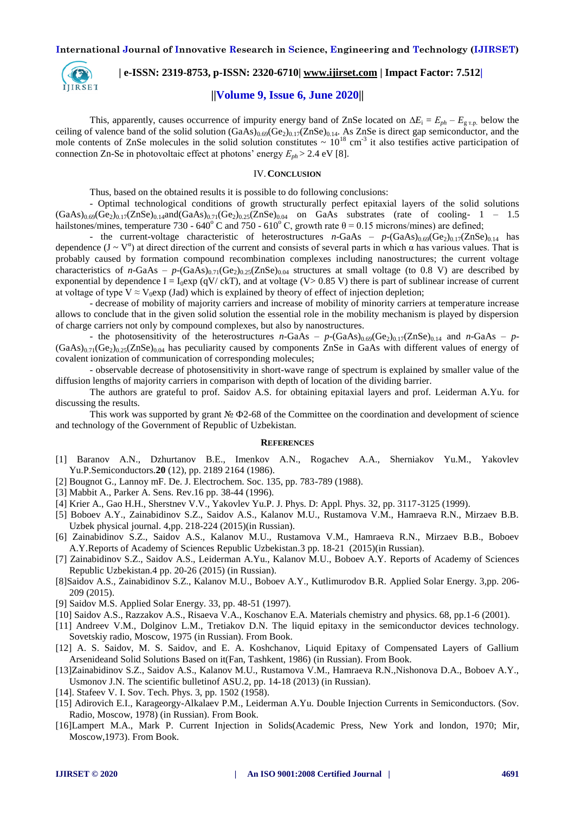

# **| e-ISSN: 2319-8753, p-ISSN: 2320-6710| [www.ijirset.com](http://www.ijirset.com/) | Impact Factor: 7.512|**

### **||Volume 9, Issue 6, June 2020||**

This, apparently, causes occurrence of impurity energy band of ZnSe located on  $\Delta E_i = E_{ph} - E_{g \text{r.p.}}$  below the ceiling of valence band of the solid solution  $(GaAs)_{0.69}(Ge_2)_{0.17}(ZnSe)_{0.14}$ . As ZnSe is direct gap semiconductor, and the mole contents of ZnSe molecules in the solid solution constitutes  $\sim 10^{18}$  cm<sup>-3</sup> it also testifies active participation of connection Zn-Se in photovoltaic effect at photons' energy  $E_{ph}$  > 2.4 eV [8].

#### IV.**CONCLUSION**

Thus, based on the obtained results it is possible to do following conclusions:

- Optimal technological conditions of growth structurally perfect epitaxial layers of the solid solutions  $(GaAs)_{0.69}(Ge_2)_{0.17}(ZnSe)_{0.14}$ and $(GaAs)_{0.71}(Ge_2)_{0.25}(ZnSe)_{0.04}$  on GaAs substrates (rate of cooling- 1 – 1.5 hailstones/mines, temperature 730 - 640<sup>o</sup> C and 750 - 610<sup>o</sup> C, growth rate  $\theta$  = 0.15 microns/mines) are defined;

- the current-voltage characteristic of heterostructures  $n-\text{GaAs}$  –  $p-(\text{GaAs})_{0.69}(\text{Ge}_2)_{0.17}(\text{ZnSe})_{0.14}$  has dependence  $(J - V^{\alpha})$  at direct direction of the current and consists of several parts in which  $\alpha$  has various values. That is probably caused by formation compound recombination complexes including nanostructures; the current voltage characteristics of *n*-GaAs – *p*-(GaAs)<sub>0.71</sub>(Ge<sub>2</sub>)<sub>0.25</sub>(ZnSe)<sub>0.04</sub> structures at small voltage (to 0.8 V) are described by exponential by dependence I =  $I_0$ exp (qV/ ckT), and at voltage (V> 0.85 V) there is part of sublinear increase of current at voltage of type V  $\approx$  V<sub>0</sub>exp (Jad) which is explained by theory of effect of injection depletion;

- decrease of mobility of majority carriers and increase of mobility of minority carriers at temperature increase allows to conclude that in the given solid solution the essential role in the mobility mechanism is played by dispersion of charge carriers not only by compound complexes, but also by nanostructures.

- the photosensitivity of the heterostructures  $n$ -GaAs –  $p$ -(GaAs)<sub>0.69</sub>(Ge<sub>2</sub>)<sub>0.17</sub>(ZnSe)<sub>0.14</sub> and  $n$ -GaAs –  $p$ - $(GaAs)_{0.71}(Ge_2)_{0.25}(ZnSe)_{0.04}$  has peculiarity caused by components ZnSe in GaAs with different values of energy of covalent ionization of communication of corresponding molecules;

- observable decrease of photosensitivity in short-wave range of spectrum is explained by smaller value of the diffusion lengths of majority carriers in comparison with depth of location of the dividing barrier.

The authors are grateful to prof. Saidov A.S. for obtaining epitaxial layers and prof. Leiderman A.Yu. for discussing the results.

This work was supported by grant № Ф2-68 of the Committee on the coordination and development of science and technology of the Government of Republic of Uzbekistan.

#### **REFERENCES**

- [1] Baranov A.N., Dzhurtanov B.E., Imenkov A.N., Rogachev A.A., Sherniakov Yu.M., Yakovlev Yu.P.Semiconductors.**20** (12), pp. 2189 2164 (1986).
- [2] Bougnot G., Lannoy mF. De. J. Electrochem. Soc. 135, pp. 783-789 (1988).
- [3] Mabbit A., Parker A. Sens. Rev.16 pp. 38-44 (1996).
- [4] Krier A., Gao H.H., Sherstnev V.V., Yakovlev Yu.P. J. Phys. D: Appl. Phys. 32, pp. 3117-3125 (1999).
- [5] Boboev A.Y., Zainabidinov S.Z., Saidov A.S., Kalanov M.U., Rustamova V.M., Hamraeva R.N., Mirzaev B.B. Uzbek physical journal. 4,pp. 218-224 (2015)(in Russian).
- [6] Zainabidinov S.Z., Saidov A.S., Kalanov M.U., Rustamova V.M., Hamraeva R.N., Mirzaev B.B., Boboev A.Y.Reports of Academy of Sciences Republic Uzbekistan.3 pp. 18-21 (2015)(in Russian).
- [7] Zainabidinov S.Z., Saidov A.S., Leiderman A.Yu., Kalanov M.U., Boboev A.Y. Reports of Academy of Sciences Republic Uzbekistan.4 pp. 20-26 (2015) (in Russian).
- [8]Saidov A.S., Zainabidinov S.Z., Kalanov M.U., Boboev A.Y., Kutlimurodov B.R. Applied Solar Energy. 3,pp. 206- 209 (2015).
- [9] Saidov M.S. Applied Solar Energy. 33, pp. 48-51 (1997).
- [10] Saidov A.S., Razzakov A.S., Risaeva V.A., Koschanov E.A. Materials chemistry and physics. 68, pp.1-6 (2001).
- [11] Andreev V.M., Dolginov L.M., Tretiakov D.N. The liquid epitaxy in the semiconductor devices technology. Sovetskiy radio, Moscow, 1975 (in Russian). From Book.
- [12] A. S. Saidov, M. S. Saidov, and E. A. Koshchanov, Liquid Epitaxy of Compensated Layers of Gallium Arsenideand Solid Solutions Based on it(Fan, Tashkent, 1986) (in Russian). From Book.
- [13]Zainabidinov S.Z., Saidov A.S., Kalanov M.U., Rustamova V.M., Hamraeva R.N.,Nishonova D.A., Boboev A.Y., Usmonov J.N. The scientific bulletinof ASU.2, pp. 14-18 (2013) (in Russian).
- [14]. Stafeev V. I. Sov. Tech. Phys. 3, pp. 1502 (1958).
- [15] Adirovich E.I., Karageorgy-Alkalaev P.M., Leiderman A.Yu. Double Injection Currents in Semiconductors. (Sov. Radio, Moscow, 1978) (in Russian). From Book.
- [16]Lampert M.A., Mark P. Current Injection in Solids(Academic Press, New York and london, 1970; Mir, Moscow,1973). From Book.